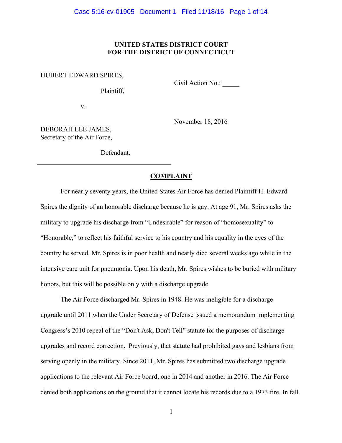## **UNITED STATES DISTRICT COURT FOR THE DISTRICT OF CONNECTICUT**

HUBERT EDWARD SPIRES,

Plaintiff,

Civil Action No.:

v.

November 18, 2016

DEBORAH LEE JAMES, Secretary of the Air Force,

Defendant.

# **COMPLAINT**

For nearly seventy years, the United States Air Force has denied Plaintiff H. Edward Spires the dignity of an honorable discharge because he is gay. At age 91, Mr. Spires asks the military to upgrade his discharge from "Undesirable" for reason of "homosexuality" to "Honorable," to reflect his faithful service to his country and his equality in the eyes of the country he served. Mr. Spires is in poor health and nearly died several weeks ago while in the intensive care unit for pneumonia. Upon his death, Mr. Spires wishes to be buried with military honors, but this will be possible only with a discharge upgrade.

The Air Force discharged Mr. Spires in 1948. He was ineligible for a discharge upgrade until 2011 when the Under Secretary of Defense issued a memorandum implementing Congress's 2010 repeal of the "Don't Ask, Don't Tell" statute for the purposes of discharge upgrades and record correction. Previously, that statute had prohibited gays and lesbians from serving openly in the military. Since 2011, Mr. Spires has submitted two discharge upgrade applications to the relevant Air Force board, one in 2014 and another in 2016. The Air Force denied both applications on the ground that it cannot locate his records due to a 1973 fire. In fall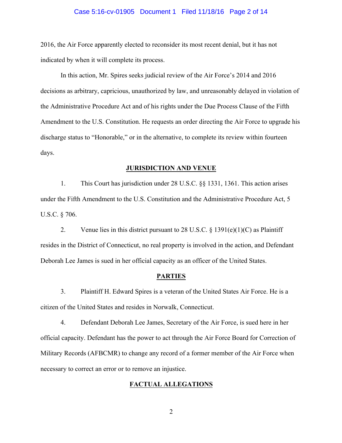### Case 5:16-cv-01905 Document 1 Filed 11/18/16 Page 2 of 14

2016, the Air Force apparently elected to reconsider its most recent denial, but it has not indicated by when it will complete its process.

In this action, Mr. Spires seeks judicial review of the Air Force's 2014 and 2016 decisions as arbitrary, capricious, unauthorized by law, and unreasonably delayed in violation of the Administrative Procedure Act and of his rights under the Due Process Clause of the Fifth Amendment to the U.S. Constitution. He requests an order directing the Air Force to upgrade his discharge status to "Honorable," or in the alternative, to complete its review within fourteen days.

#### **JURISDICTION AND VENUE**

1. This Court has jurisdiction under 28 U.S.C. §§ 1331, 1361. This action arises under the Fifth Amendment to the U.S. Constitution and the Administrative Procedure Act, 5 U.S.C. § 706.

2. Venue lies in this district pursuant to 28 U.S.C.  $\S$  1391(e)(1)(C) as Plaintiff resides in the District of Connecticut, no real property is involved in the action, and Defendant Deborah Lee James is sued in her official capacity as an officer of the United States.

### **PARTIES**

3. Plaintiff H. Edward Spires is a veteran of the United States Air Force. He is a citizen of the United States and resides in Norwalk, Connecticut.

4. Defendant Deborah Lee James, Secretary of the Air Force, is sued here in her official capacity. Defendant has the power to act through the Air Force Board for Correction of Military Records (AFBCMR) to change any record of a former member of the Air Force when necessary to correct an error or to remove an injustice.

## **FACTUAL ALLEGATIONS**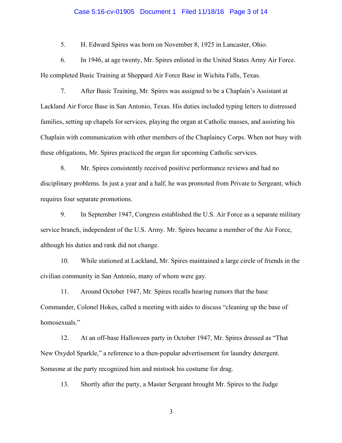### Case 5:16-cv-01905 Document 1 Filed 11/18/16 Page 3 of 14

5. H. Edward Spires was born on November 8, 1925 in Lancaster, Ohio.

6. In 1946, at age twenty, Mr. Spires enlisted in the United States Army Air Force. He completed Basic Training at Sheppard Air Force Base in Wichita Falls, Texas.

7. After Basic Training, Mr. Spires was assigned to be a Chaplain's Assistant at Lackland Air Force Base in San Antonio, Texas. His duties included typing letters to distressed families, setting up chapels for services, playing the organ at Catholic masses, and assisting his Chaplain with communication with other members of the Chaplaincy Corps. When not busy with these obligations, Mr. Spires practiced the organ for upcoming Catholic services.

8. Mr. Spires consistently received positive performance reviews and had no disciplinary problems. In just a year and a half, he was promoted from Private to Sergeant, which requires four separate promotions.

9. In September 1947, Congress established the U.S. Air Force as a separate military service branch, independent of the U.S. Army. Mr. Spires became a member of the Air Force, although his duties and rank did not change.

10. While stationed at Lackland, Mr. Spires maintained a large circle of friends in the civilian community in San Antonio, many of whom were gay.

11. Around October 1947, Mr. Spires recalls hearing rumors that the base Commander, Colonel Hokes, called a meeting with aides to discuss "cleaning up the base of homosexuals."

12. At an off-base Halloween party in October 1947, Mr. Spires dressed as "That New Oxydol Sparkle," a reference to a then-popular advertisement for laundry detergent. Someone at the party recognized him and mistook his costume for drag.

13. Shortly after the party, a Master Sergeant brought Mr. Spires to the Judge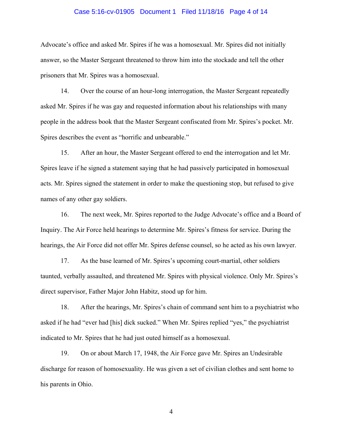### Case 5:16-cv-01905 Document 1 Filed 11/18/16 Page 4 of 14

Advocate's office and asked Mr. Spires if he was a homosexual. Mr. Spires did not initially answer, so the Master Sergeant threatened to throw him into the stockade and tell the other prisoners that Mr. Spires was a homosexual.

14. Over the course of an hour-long interrogation, the Master Sergeant repeatedly asked Mr. Spires if he was gay and requested information about his relationships with many people in the address book that the Master Sergeant confiscated from Mr. Spires's pocket. Mr. Spires describes the event as "horrific and unbearable."

15. After an hour, the Master Sergeant offered to end the interrogation and let Mr. Spires leave if he signed a statement saying that he had passively participated in homosexual acts. Mr. Spires signed the statement in order to make the questioning stop, but refused to give names of any other gay soldiers.

16. The next week, Mr. Spires reported to the Judge Advocate's office and a Board of Inquiry. The Air Force held hearings to determine Mr. Spires's fitness for service. During the hearings, the Air Force did not offer Mr. Spires defense counsel, so he acted as his own lawyer.

17. As the base learned of Mr. Spires's upcoming court-martial, other soldiers taunted, verbally assaulted, and threatened Mr. Spires with physical violence. Only Mr. Spires's direct supervisor, Father Major John Habitz, stood up for him.

18. After the hearings, Mr. Spires's chain of command sent him to a psychiatrist who asked if he had "ever had [his] dick sucked." When Mr. Spires replied "yes," the psychiatrist indicated to Mr. Spires that he had just outed himself as a homosexual.

19. On or about March 17, 1948, the Air Force gave Mr. Spires an Undesirable discharge for reason of homosexuality. He was given a set of civilian clothes and sent home to his parents in Ohio.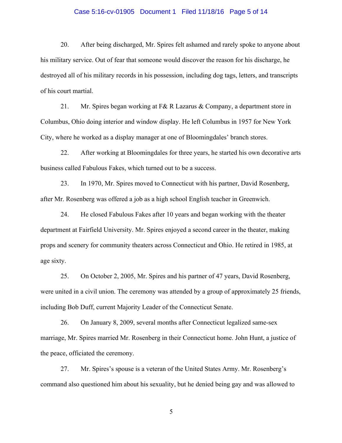### Case 5:16-cv-01905 Document 1 Filed 11/18/16 Page 5 of 14

20. After being discharged, Mr. Spires felt ashamed and rarely spoke to anyone about his military service. Out of fear that someone would discover the reason for his discharge, he destroyed all of his military records in his possession, including dog tags, letters, and transcripts of his court martial.

21. Mr. Spires began working at F& R Lazarus & Company, a department store in Columbus, Ohio doing interior and window display. He left Columbus in 1957 for New York City, where he worked as a display manager at one of Bloomingdales' branch stores.

22. After working at Bloomingdales for three years, he started his own decorative arts business called Fabulous Fakes, which turned out to be a success.

23. In 1970, Mr. Spires moved to Connecticut with his partner, David Rosenberg, after Mr. Rosenberg was offered a job as a high school English teacher in Greenwich.

24. He closed Fabulous Fakes after 10 years and began working with the theater department at Fairfield University. Mr. Spires enjoyed a second career in the theater, making props and scenery for community theaters across Connecticut and Ohio. He retired in 1985, at age sixty.

25. On October 2, 2005, Mr. Spires and his partner of 47 years, David Rosenberg, were united in a civil union. The ceremony was attended by a group of approximately 25 friends, including Bob Duff, current Majority Leader of the Connecticut Senate.

26. On January 8, 2009, several months after Connecticut legalized same-sex marriage, Mr. Spires married Mr. Rosenberg in their Connecticut home. John Hunt, a justice of the peace, officiated the ceremony.

27. Mr. Spires's spouse is a veteran of the United States Army. Mr. Rosenberg's command also questioned him about his sexuality, but he denied being gay and was allowed to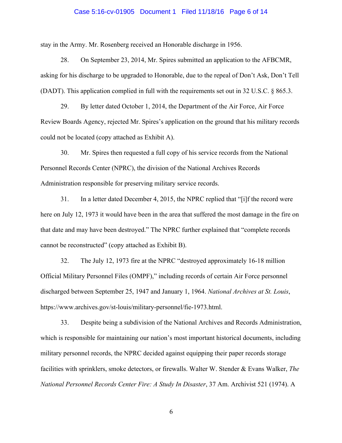### Case 5:16-cv-01905 Document 1 Filed 11/18/16 Page 6 of 14

stay in the Army. Mr. Rosenberg received an Honorable discharge in 1956.

28. On September 23, 2014, Mr. Spires submitted an application to the AFBCMR, asking for his discharge to be upgraded to Honorable, due to the repeal of Don't Ask, Don't Tell (DADT). This application complied in full with the requirements set out in 32 U.S.C. § 865.3.

29. By letter dated October 1, 2014, the Department of the Air Force, Air Force Review Boards Agency, rejected Mr. Spires's application on the ground that his military records could not be located (copy attached as Exhibit A).

30. Mr. Spires then requested a full copy of his service records from the National Personnel Records Center (NPRC), the division of the National Archives Records Administration responsible for preserving military service records.

31. In a letter dated December 4, 2015, the NPRC replied that "[i]f the record were here on July 12, 1973 it would have been in the area that suffered the most damage in the fire on that date and may have been destroyed." The NPRC further explained that "complete records cannot be reconstructed" (copy attached as Exhibit B).

32. The July 12, 1973 fire at the NPRC "destroyed approximately 16-18 million Official Military Personnel Files (OMPF)," including records of certain Air Force personnel discharged between September 25, 1947 and January 1, 1964. *National Archives at St. Louis*, https://www.archives.gov/st-louis/military-personnel/fie-1973.html.

33. Despite being a subdivision of the National Archives and Records Administration, which is responsible for maintaining our nation's most important historical documents, including military personnel records, the NPRC decided against equipping their paper records storage facilities with sprinklers, smoke detectors, or firewalls. Walter W. Stender & Evans Walker, *The National Personnel Records Center Fire: A Study In Disaster*, 37 Am. Archivist 521 (1974). A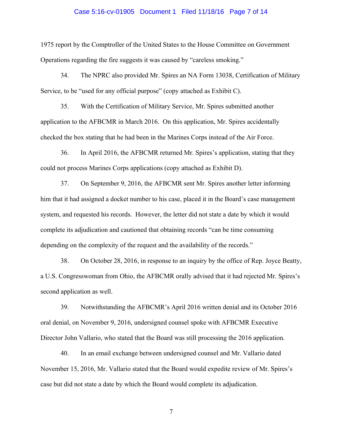### Case 5:16-cv-01905 Document 1 Filed 11/18/16 Page 7 of 14

1975 report by the Comptroller of the United States to the House Committee on Government Operations regarding the fire suggests it was caused by "careless smoking."

34. The NPRC also provided Mr. Spires an NA Form 13038, Certification of Military Service, to be "used for any official purpose" (copy attached as Exhibit C).

35. With the Certification of Military Service, Mr. Spires submitted another application to the AFBCMR in March 2016. On this application, Mr. Spires accidentally checked the box stating that he had been in the Marines Corps instead of the Air Force.

36. In April 2016, the AFBCMR returned Mr. Spires's application, stating that they could not process Marines Corps applications (copy attached as Exhibit D).

37. On September 9, 2016, the AFBCMR sent Mr. Spires another letter informing him that it had assigned a docket number to his case, placed it in the Board's case management system, and requested his records. However, the letter did not state a date by which it would complete its adjudication and cautioned that obtaining records "can be time consuming depending on the complexity of the request and the availability of the records."

38. On October 28, 2016, in response to an inquiry by the office of Rep. Joyce Beatty, a U.S. Congresswoman from Ohio, the AFBCMR orally advised that it had rejected Mr. Spires's second application as well.

39. Notwithstanding the AFBCMR's April 2016 written denial and its October 2016 oral denial, on November 9, 2016, undersigned counsel spoke with AFBCMR Executive Director John Vallario, who stated that the Board was still processing the 2016 application.

40. In an email exchange between undersigned counsel and Mr. Vallario dated November 15, 2016, Mr. Vallario stated that the Board would expedite review of Mr. Spires's case but did not state a date by which the Board would complete its adjudication.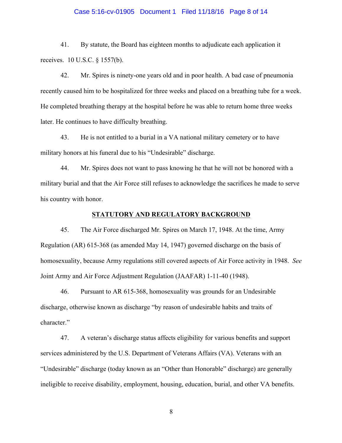### Case 5:16-cv-01905 Document 1 Filed 11/18/16 Page 8 of 14

41. By statute, the Board has eighteen months to adjudicate each application it receives. 10 U.S.C. § 1557(b).

42. Mr. Spires is ninety-one years old and in poor health. A bad case of pneumonia recently caused him to be hospitalized for three weeks and placed on a breathing tube for a week. He completed breathing therapy at the hospital before he was able to return home three weeks later. He continues to have difficulty breathing.

43. He is not entitled to a burial in a VA national military cemetery or to have military honors at his funeral due to his "Undesirable" discharge.

44. Mr. Spires does not want to pass knowing he that he will not be honored with a military burial and that the Air Force still refuses to acknowledge the sacrifices he made to serve his country with honor.

### **STATUTORY AND REGULATORY BACKGROUND**

45. The Air Force discharged Mr. Spires on March 17, 1948. At the time, Army Regulation (AR) 615-368 (as amended May 14, 1947) governed discharge on the basis of homosexuality, because Army regulations still covered aspects of Air Force activity in 1948. *See*  Joint Army and Air Force Adjustment Regulation (JAAFAR) 1-11-40 (1948).

46. Pursuant to AR 615-368, homosexuality was grounds for an Undesirable discharge, otherwise known as discharge "by reason of undesirable habits and traits of character."

47. A veteran's discharge status affects eligibility for various benefits and support services administered by the U.S. Department of Veterans Affairs (VA). Veterans with an "Undesirable" discharge (today known as an "Other than Honorable" discharge) are generally ineligible to receive disability, employment, housing, education, burial, and other VA benefits.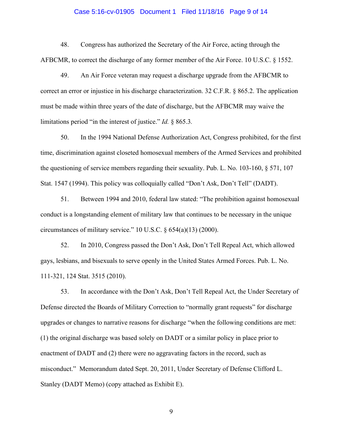### Case 5:16-cv-01905 Document 1 Filed 11/18/16 Page 9 of 14

48. Congress has authorized the Secretary of the Air Force, acting through the AFBCMR, to correct the discharge of any former member of the Air Force. 10 U.S.C. § 1552.

49. An Air Force veteran may request a discharge upgrade from the AFBCMR to correct an error or injustice in his discharge characterization. 32 C.F.R. § 865.2. The application must be made within three years of the date of discharge, but the AFBCMR may waive the limitations period "in the interest of justice." *Id.* § 865.3*.*

50. In the 1994 National Defense Authorization Act, Congress prohibited, for the first time, discrimination against closeted homosexual members of the Armed Services and prohibited the questioning of service members regarding their sexuality. Pub. L. No. 103-160, § 571, 107 Stat. 1547 (1994). This policy was colloquially called "Don't Ask, Don't Tell" (DADT).

51. Between 1994 and 2010, federal law stated: "The prohibition against homosexual conduct is a longstanding element of military law that continues to be necessary in the unique circumstances of military service." 10 U.S.C. § 654(a)(13) (2000).

52. In 2010, Congress passed the Don't Ask, Don't Tell Repeal Act, which allowed gays, lesbians, and bisexuals to serve openly in the United States Armed Forces. Pub. L. No. 111-321, 124 Stat. 3515 (2010).

53. In accordance with the Don't Ask, Don't Tell Repeal Act, the Under Secretary of Defense directed the Boards of Military Correction to "normally grant requests" for discharge upgrades or changes to narrative reasons for discharge "when the following conditions are met: (1) the original discharge was based solely on DADT or a similar policy in place prior to enactment of DADT and (2) there were no aggravating factors in the record, such as misconduct." Memorandum dated Sept. 20, 2011, Under Secretary of Defense Clifford L. Stanley (DADT Memo) (copy attached as Exhibit E).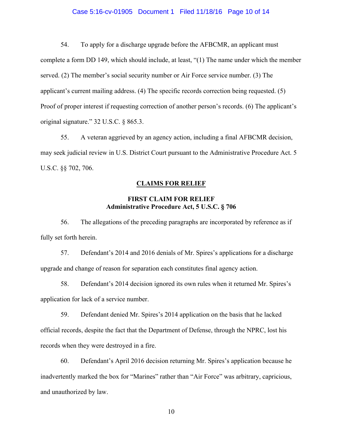### Case 5:16-cv-01905 Document 1 Filed 11/18/16 Page 10 of 14

54. To apply for a discharge upgrade before the AFBCMR, an applicant must complete a form DD 149, which should include, at least, "(1) The name under which the member served. (2) The member's social security number or Air Force service number. (3) The applicant's current mailing address. (4) The specific records correction being requested. (5) Proof of proper interest if requesting correction of another person's records. (6) The applicant's original signature." 32 U.S.C. § 865.3.

55. A veteran aggrieved by an agency action, including a final AFBCMR decision, may seek judicial review in U.S. District Court pursuant to the Administrative Procedure Act. 5 U.S.C. §§ 702, 706.

### **CLAIMS FOR RELIEF**

# **FIRST CLAIM FOR RELIEF Administrative Procedure Act, 5 U.S.C. § 706**

56. The allegations of the preceding paragraphs are incorporated by reference as if fully set forth herein.

57. Defendant's 2014 and 2016 denials of Mr. Spires's applications for a discharge upgrade and change of reason for separation each constitutes final agency action.

58. Defendant's 2014 decision ignored its own rules when it returned Mr. Spires's application for lack of a service number.

59. Defendant denied Mr. Spires's 2014 application on the basis that he lacked official records, despite the fact that the Department of Defense, through the NPRC, lost his records when they were destroyed in a fire.

60. Defendant's April 2016 decision returning Mr. Spires's application because he inadvertently marked the box for "Marines" rather than "Air Force" was arbitrary, capricious, and unauthorized by law.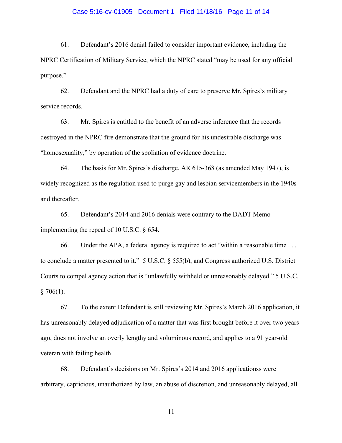### Case 5:16-cv-01905 Document 1 Filed 11/18/16 Page 11 of 14

61. Defendant's 2016 denial failed to consider important evidence, including the NPRC Certification of Military Service, which the NPRC stated "may be used for any official purpose."

62. Defendant and the NPRC had a duty of care to preserve Mr. Spires's military service records.

63. Mr. Spires is entitled to the benefit of an adverse inference that the records destroyed in the NPRC fire demonstrate that the ground for his undesirable discharge was "homosexuality," by operation of the spoliation of evidence doctrine.

64. The basis for Mr. Spires's discharge, AR 615-368 (as amended May 1947), is widely recognized as the regulation used to purge gay and lesbian servicemembers in the 1940s and thereafter.

65. Defendant's 2014 and 2016 denials were contrary to the DADT Memo implementing the repeal of 10 U.S.C. § 654.

66. Under the APA, a federal agency is required to act "within a reasonable time . . . to conclude a matter presented to it." 5 U.S.C. § 555(b), and Congress authorized U.S. District Courts to compel agency action that is "unlawfully withheld or unreasonably delayed." 5 U.S.C.  $§ 706(1).$ 

67. To the extent Defendant is still reviewing Mr. Spires's March 2016 application, it has unreasonably delayed adjudication of a matter that was first brought before it over two years ago, does not involve an overly lengthy and voluminous record, and applies to a 91 year-old veteran with failing health.

68. Defendant's decisions on Mr. Spires's 2014 and 2016 applicationss were arbitrary, capricious, unauthorized by law, an abuse of discretion, and unreasonably delayed, all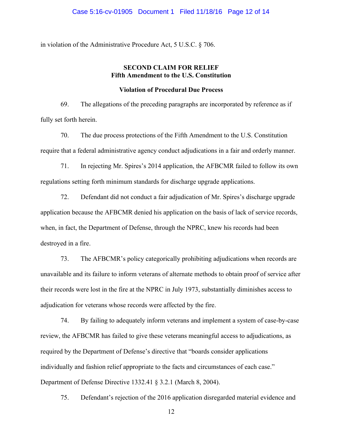### Case 5:16-cv-01905 Document 1 Filed 11/18/16 Page 12 of 14

in violation of the Administrative Procedure Act, 5 U.S.C. § 706.

# **SECOND CLAIM FOR RELIEF Fifth Amendment to the U.S. Constitution**

## **Violation of Procedural Due Process**

69. The allegations of the preceding paragraphs are incorporated by reference as if fully set forth herein.

70. The due process protections of the Fifth Amendment to the U.S. Constitution require that a federal administrative agency conduct adjudications in a fair and orderly manner.

71. In rejecting Mr. Spires's 2014 application, the AFBCMR failed to follow its own regulations setting forth minimum standards for discharge upgrade applications.

72. Defendant did not conduct a fair adjudication of Mr. Spires's discharge upgrade application because the AFBCMR denied his application on the basis of lack of service records, when, in fact, the Department of Defense, through the NPRC, knew his records had been destroyed in a fire.

73. The AFBCMR's policy categorically prohibiting adjudications when records are unavailable and its failure to inform veterans of alternate methods to obtain proof of service after their records were lost in the fire at the NPRC in July 1973, substantially diminishes access to adjudication for veterans whose records were affected by the fire.

74. By failing to adequately inform veterans and implement a system of case-by-case review, the AFBCMR has failed to give these veterans meaningful access to adjudications, as required by the Department of Defense's directive that "boards consider applications individually and fashion relief appropriate to the facts and circumstances of each case." Department of Defense Directive 1332.41 § 3.2.1 (March 8, 2004).

75. Defendant's rejection of the 2016 application disregarded material evidence and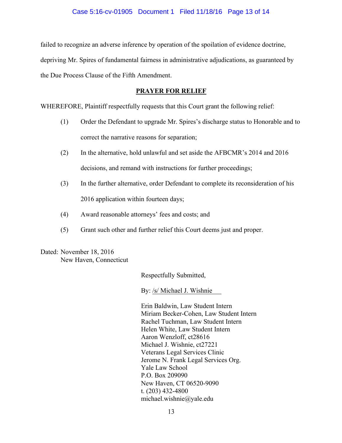failed to recognize an adverse inference by operation of the spoilation of evidence doctrine, depriving Mr. Spires of fundamental fairness in administrative adjudications, as guaranteed by the Due Process Clause of the Fifth Amendment.

# **PRAYER FOR RELIEF**

WHEREFORE, Plaintiff respectfully requests that this Court grant the following relief:

- (1) Order the Defendant to upgrade Mr. Spires's discharge status to Honorable and to correct the narrative reasons for separation;
- (2) In the alternative, hold unlawful and set aside the AFBCMR's 2014 and 2016 decisions, and remand with instructions for further proceedings;
- (3) In the further alternative, order Defendant to complete its reconsideration of his 2016 application within fourteen days;
- (4) Award reasonable attorneys' fees and costs; and
- (5) Grant such other and further relief this Court deems just and proper.

Dated: November 18, 2016 New Haven, Connecticut

Respectfully Submitted,

By: /s/ Michael J. Wishnie

Erin Baldwin, Law Student Intern Miriam Becker-Cohen, Law Student Intern Rachel Tuchman, Law Student Intern Helen White, Law Student Intern Aaron Wenzloff, ct28616 Michael J. Wishnie, ct27221 Veterans Legal Services Clinic Jerome N. Frank Legal Services Org. Yale Law School P.O. Box 209090 New Haven, CT 06520-9090 t. (203) 432-4800 michael.wishnie@yale.edu